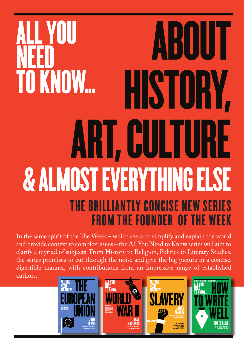## ABOUT HISTORY, ART, CULTURE & ALMOST EVERYTHING ELSE ALL YOU NEED<br>70 VA TO KNOW... THE BRILLIANTLY CONCISE NEW SERIES FROM THE FOUNDER OF THE WEEK

In the same spirit of the The Week – which seeks to simplify and explain the world and provide context to complex issues – the All You Need to Know series will aim to clarify a myriad of subjects. From History to Religion, Politics to Literary Studies, the series promises to cut through the noise and give the big picture in a concise, digestible manner, with contributions from an impressive range of established authors.

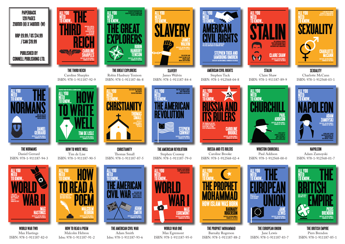Max Egremont ISBN: 978-1-911187-95-0

THE BRITISH EMPIRE Piers Brendon ISBN: 978-1-911187-85-1

WORLD WAR TWO Max Hastings ISBN: 978-1-911187-82-0

Malcolm Hebron Isbn: 978-1-911187-91-2



Adam Smith Isbn: 978-1-911187-93-6



**STALIN** Claire Shaw ISBN: 978-1-911187-89-9



**SEXUALITY** Charlotte McCann ISBN: 978-1-912568-03-1

Barnaby Rogerson

ISBN: 978-1-911187-88-2



NAPOLEON Adam Zamoyski ISBN: 978-1-912568-01-7



THE EUROPEAN UNION Jane Lewis ISBN: 978-1-911187-83-7





WINSTON CHURCHILL Paul Addison ISBN: 978-1-912568-00-0